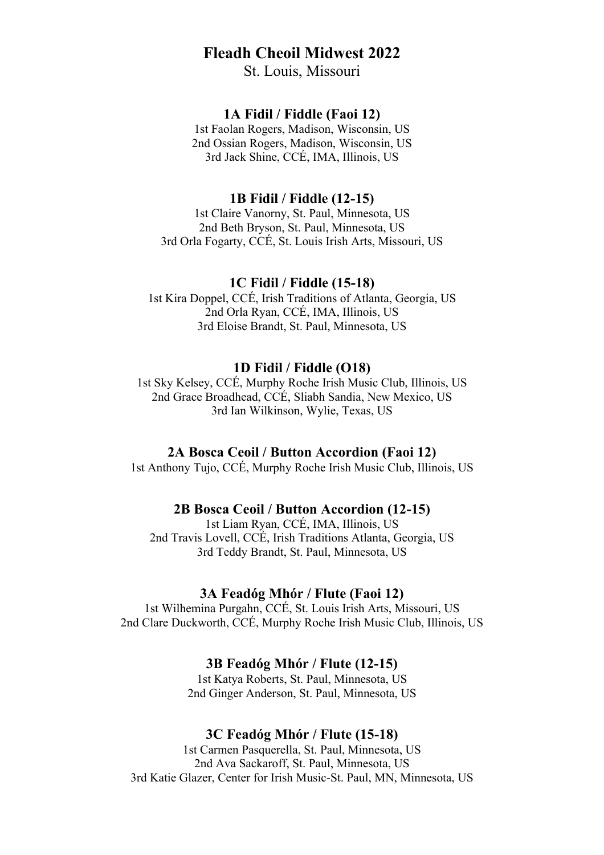# **Fleadh Cheoil Midwest 2022**

St. Louis, Missouri

## **1A Fidil / Fiddle (Faoi 12)**

1st Faolan Rogers, Madison, Wisconsin, US 2nd Ossian Rogers, Madison, Wisconsin, US 3rd Jack Shine, CCÉ, IMA, Illinois, US

## **1B Fidil / Fiddle (12-15)**

1st Claire Vanorny, St. Paul, Minnesota, US 2nd Beth Bryson, St. Paul, Minnesota, US 3rd Orla Fogarty, CCÉ, St. Louis Irish Arts, Missouri, US

#### **1C Fidil / Fiddle (15-18)**

1st Kira Doppel, CCÉ, Irish Traditions of Atlanta, Georgia, US 2nd Orla Ryan, CCÉ, IMA, Illinois, US 3rd Eloise Brandt, St. Paul, Minnesota, US

## **1D Fidil / Fiddle (O18)**

1st Sky Kelsey, CCÉ, Murphy Roche Irish Music Club, Illinois, US 2nd Grace Broadhead, CCÉ, Sliabh Sandia, New Mexico, US 3rd Ian Wilkinson, Wylie, Texas, US

## **2A Bosca Ceoil / Button Accordion (Faoi 12)**

1st Anthony Tujo, CCÉ, Murphy Roche Irish Music Club, Illinois, US

## **2B Bosca Ceoil / Button Accordion (12-15)**

1st Liam Ryan, CCÉ, IMA, Illinois, US 2nd Travis Lovell, CCÉ, Irish Traditions Atlanta, Georgia, US 3rd Teddy Brandt, St. Paul, Minnesota, US

## **3A Feadóg Mhór / Flute (Faoi 12)**

1st Wilhemina Purgahn, CCÉ, St. Louis Irish Arts, Missouri, US 2nd Clare Duckworth, CCÉ, Murphy Roche Irish Music Club, Illinois, US

# **3B Feadóg Mhór / Flute (12-15)**

1st Katya Roberts, St. Paul, Minnesota, US 2nd Ginger Anderson, St. Paul, Minnesota, US

#### **3C Feadóg Mhór / Flute (15-18)**

1st Carmen Pasquerella, St. Paul, Minnesota, US 2nd Ava Sackaroff, St. Paul, Minnesota, US 3rd Katie Glazer, Center for Irish Music-St. Paul, MN, Minnesota, US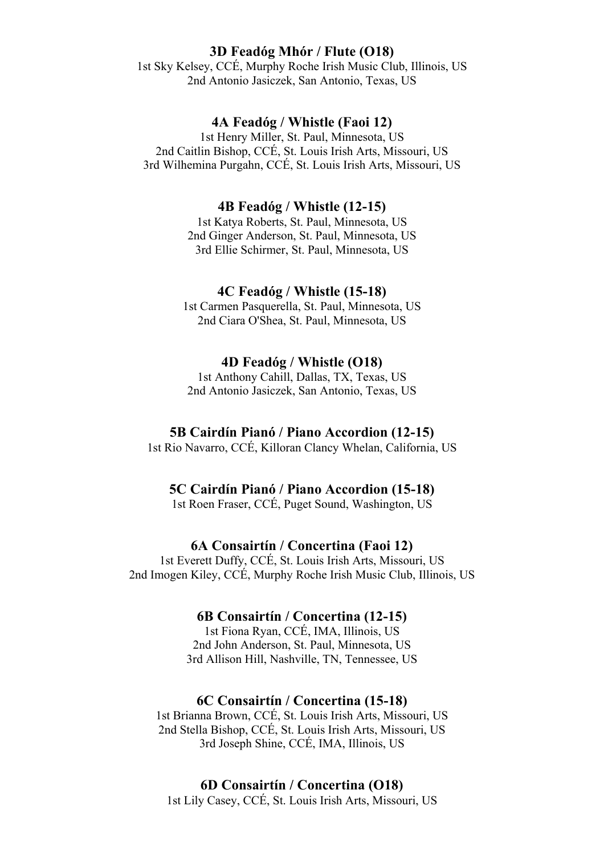#### **3D Feadóg Mhór / Flute (O18)**

1st Sky Kelsey, CCÉ, Murphy Roche Irish Music Club, Illinois, US 2nd Antonio Jasiczek, San Antonio, Texas, US

#### **4A Feadóg / Whistle (Faoi 12)**

1st Henry Miller, St. Paul, Minnesota, US 2nd Caitlin Bishop, CCÉ, St. Louis Irish Arts, Missouri, US 3rd Wilhemina Purgahn, CCÉ, St. Louis Irish Arts, Missouri, US

## **4B Feadóg / Whistle (12-15)**

1st Katya Roberts, St. Paul, Minnesota, US 2nd Ginger Anderson, St. Paul, Minnesota, US 3rd Ellie Schirmer, St. Paul, Minnesota, US

### **4C Feadóg / Whistle (15-18)**

1st Carmen Pasquerella, St. Paul, Minnesota, US 2nd Ciara O'Shea, St. Paul, Minnesota, US

## **4D Feadóg / Whistle (O18)**

1st Anthony Cahill, Dallas, TX, Texas, US 2nd Antonio Jasiczek, San Antonio, Texas, US

#### **5B Cairdín Pianó / Piano Accordion (12-15)**

1st Rio Navarro, CCÉ, Killoran Clancy Whelan, California, US

#### **5C Cairdín Pianó / Piano Accordion (15-18)**

1st Roen Fraser, CCÉ, Puget Sound, Washington, US

#### **6A Consairtín / Concertina (Faoi 12)**

1st Everett Duffy, CCÉ, St. Louis Irish Arts, Missouri, US 2nd Imogen Kiley, CCÉ, Murphy Roche Irish Music Club, Illinois, US

#### **6B Consairtín / Concertina (12-15)**

1st Fiona Ryan, CCÉ, IMA, Illinois, US 2nd John Anderson, St. Paul, Minnesota, US 3rd Allison Hill, Nashville, TN, Tennessee, US

#### **6C Consairtín / Concertina (15-18)**

1st Brianna Brown, CCÉ, St. Louis Irish Arts, Missouri, US 2nd Stella Bishop, CCÉ, St. Louis Irish Arts, Missouri, US 3rd Joseph Shine, CCÉ, IMA, Illinois, US

#### **6D Consairtín / Concertina (O18)**

1st Lily Casey, CCÉ, St. Louis Irish Arts, Missouri, US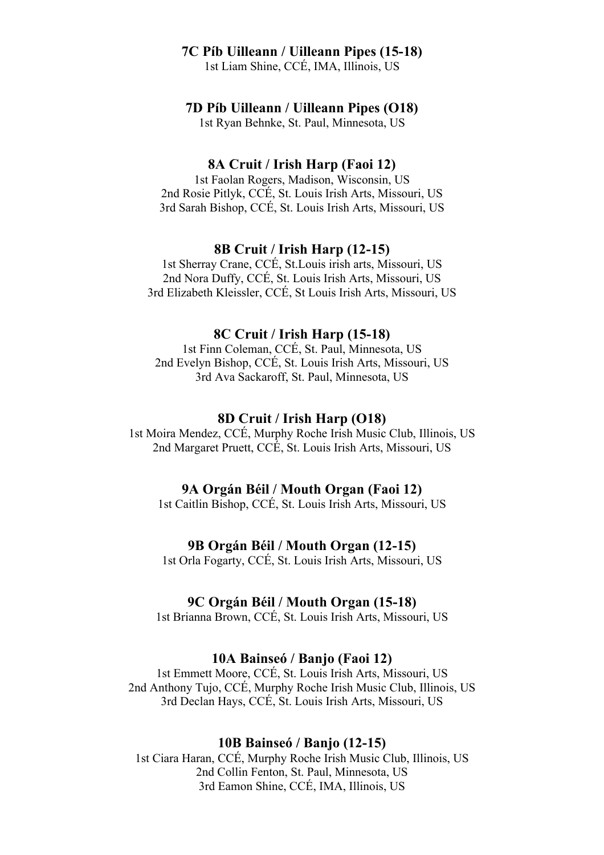#### **7C Píb Uilleann / Uilleann Pipes (15-18)**

1st Liam Shine, CCÉ, IMA, Illinois, US

#### **7D Píb Uilleann / Uilleann Pipes (O18)**

1st Ryan Behnke, St. Paul, Minnesota, US

## **8A Cruit / Irish Harp (Faoi 12)**

1st Faolan Rogers, Madison, Wisconsin, US 2nd Rosie Pitlyk, CCÉ, St. Louis Irish Arts, Missouri, US 3rd Sarah Bishop, CCÉ, St. Louis Irish Arts, Missouri, US

#### **8B Cruit / Irish Harp (12-15)**

1st Sherray Crane, CCÉ, St.Louis irish arts, Missouri, US 2nd Nora Duffy, CCÉ, St. Louis Irish Arts, Missouri, US 3rd Elizabeth Kleissler, CCÉ, St Louis Irish Arts, Missouri, US

## **8C Cruit / Irish Harp (15-18)**

1st Finn Coleman, CCÉ, St. Paul, Minnesota, US 2nd Evelyn Bishop, CCÉ, St. Louis Irish Arts, Missouri, US 3rd Ava Sackaroff, St. Paul, Minnesota, US

#### **8D Cruit / Irish Harp (O18)**

1st Moira Mendez, CCÉ, Murphy Roche Irish Music Club, Illinois, US 2nd Margaret Pruett, CCÉ, St. Louis Irish Arts, Missouri, US

## **9A Orgán Béil / Mouth Organ (Faoi 12)**

1st Caitlin Bishop, CCÉ, St. Louis Irish Arts, Missouri, US

#### **9B Orgán Béil / Mouth Organ (12-15)**

1st Orla Fogarty, CCÉ, St. Louis Irish Arts, Missouri, US

#### **9C Orgán Béil / Mouth Organ (15-18)**

1st Brianna Brown, CCÉ, St. Louis Irish Arts, Missouri, US

#### **10A Bainseó / Banjo (Faoi 12)**

1st Emmett Moore, CCÉ, St. Louis Irish Arts, Missouri, US 2nd Anthony Tujo, CCÉ, Murphy Roche Irish Music Club, Illinois, US 3rd Declan Hays, CCÉ, St. Louis Irish Arts, Missouri, US

## **10B Bainseó / Banjo (12-15)**

1st Ciara Haran, CCÉ, Murphy Roche Irish Music Club, Illinois, US 2nd Collin Fenton, St. Paul, Minnesota, US 3rd Eamon Shine, CCÉ, IMA, Illinois, US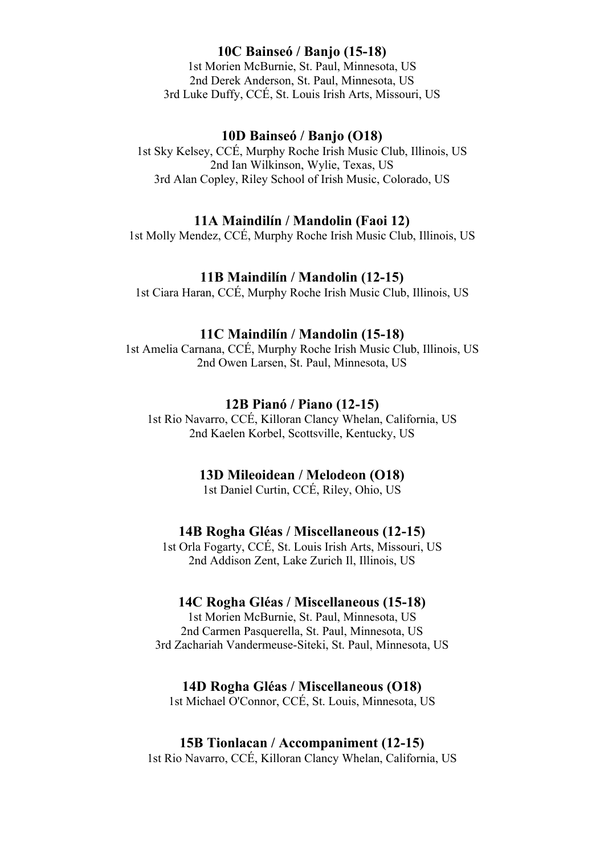## **10C Bainseó / Banjo (15-18)**

1st Morien McBurnie, St. Paul, Minnesota, US 2nd Derek Anderson, St. Paul, Minnesota, US 3rd Luke Duffy, CCÉ, St. Louis Irish Arts, Missouri, US

## **10D Bainseó / Banjo (O18)**

1st Sky Kelsey, CCÉ, Murphy Roche Irish Music Club, Illinois, US 2nd Ian Wilkinson, Wylie, Texas, US 3rd Alan Copley, Riley School of Irish Music, Colorado, US

## **11A Maindilín / Mandolin (Faoi 12)**

1st Molly Mendez, CCÉ, Murphy Roche Irish Music Club, Illinois, US

## **11B Maindilín / Mandolin (12-15)**

1st Ciara Haran, CCÉ, Murphy Roche Irish Music Club, Illinois, US

#### **11C Maindilín / Mandolin (15-18)**

1st Amelia Carnana, CCÉ, Murphy Roche Irish Music Club, Illinois, US 2nd Owen Larsen, St. Paul, Minnesota, US

#### **12B Pianó / Piano (12-15)**

1st Rio Navarro, CCÉ, Killoran Clancy Whelan, California, US 2nd Kaelen Korbel, Scottsville, Kentucky, US

## **13D Mileoidean / Melodeon (O18)**

1st Daniel Curtin, CCÉ, Riley, Ohio, US

## **14B Rogha Gléas / Miscellaneous (12-15)**

1st Orla Fogarty, CCÉ, St. Louis Irish Arts, Missouri, US 2nd Addison Zent, Lake Zurich Il, Illinois, US

#### **14C Rogha Gléas / Miscellaneous (15-18)**

1st Morien McBurnie, St. Paul, Minnesota, US 2nd Carmen Pasquerella, St. Paul, Minnesota, US 3rd Zachariah Vandermeuse-Siteki, St. Paul, Minnesota, US

# **14D Rogha Gléas / Miscellaneous (O18)**

1st Michael O'Connor, CCÉ, St. Louis, Minnesota, US

## **15B Tionlacan / Accompaniment (12-15)**

1st Rio Navarro, CCÉ, Killoran Clancy Whelan, California, US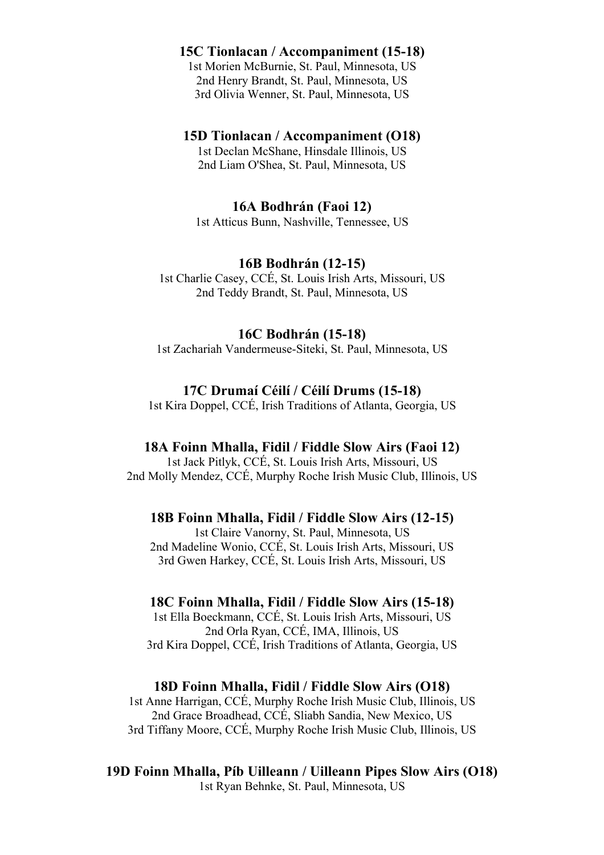## **15C Tionlacan / Accompaniment (15-18)**

1st Morien McBurnie, St. Paul, Minnesota, US 2nd Henry Brandt, St. Paul, Minnesota, US 3rd Olivia Wenner, St. Paul, Minnesota, US

#### **15D Tionlacan / Accompaniment (O18)**

1st Declan McShane, Hinsdale Illinois, US 2nd Liam O'Shea, St. Paul, Minnesota, US

## **16A Bodhrán (Faoi 12)**

1st Atticus Bunn, Nashville, Tennessee, US

## **16B Bodhrán (12-15)**

1st Charlie Casey, CCÉ, St. Louis Irish Arts, Missouri, US 2nd Teddy Brandt, St. Paul, Minnesota, US

#### **16C Bodhrán (15-18)**

1st Zachariah Vandermeuse-Siteki, St. Paul, Minnesota, US

## **17C Drumaí Céilí / Céilí Drums (15-18)**

1st Kira Doppel, CCÉ, Irish Traditions of Atlanta, Georgia, US

#### **18A Foinn Mhalla, Fidil / Fiddle Slow Airs (Faoi 12)**

1st Jack Pitlyk, CCÉ, St. Louis Irish Arts, Missouri, US 2nd Molly Mendez, CCÉ, Murphy Roche Irish Music Club, Illinois, US

#### **18B Foinn Mhalla, Fidil / Fiddle Slow Airs (12-15)**

1st Claire Vanorny, St. Paul, Minnesota, US 2nd Madeline Wonio, CCÉ, St. Louis Irish Arts, Missouri, US 3rd Gwen Harkey, CCÉ, St. Louis Irish Arts, Missouri, US

#### **18C Foinn Mhalla, Fidil / Fiddle Slow Airs (15-18)**

1st Ella Boeckmann, CCÉ, St. Louis Irish Arts, Missouri, US 2nd Orla Ryan, CCÉ, IMA, Illinois, US 3rd Kira Doppel, CCÉ, Irish Traditions of Atlanta, Georgia, US

#### **18D Foinn Mhalla, Fidil / Fiddle Slow Airs (O18)**

1st Anne Harrigan, CCÉ, Murphy Roche Irish Music Club, Illinois, US 2nd Grace Broadhead, CCÉ, Sliabh Sandia, New Mexico, US 3rd Tiffany Moore, CCÉ, Murphy Roche Irish Music Club, Illinois, US

## **19D Foinn Mhalla, Píb Uilleann / Uilleann Pipes Slow Airs (O18)**

1st Ryan Behnke, St. Paul, Minnesota, US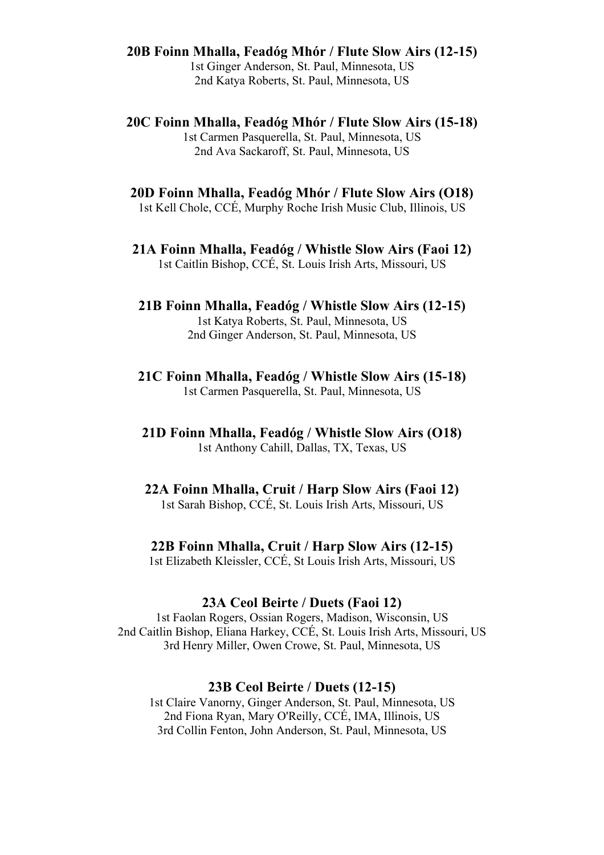## **20B Foinn Mhalla, Feadóg Mhór / Flute Slow Airs (12-15)** 1st Ginger Anderson, St. Paul, Minnesota, US 2nd Katya Roberts, St. Paul, Minnesota, US

**20C Foinn Mhalla, Feadóg Mhór / Flute Slow Airs (15-18)** 1st Carmen Pasquerella, St. Paul, Minnesota, US 2nd Ava Sackaroff, St. Paul, Minnesota, US

# **20D Foinn Mhalla, Feadóg Mhór / Flute Slow Airs (O18)**

1st Kell Chole, CCÉ, Murphy Roche Irish Music Club, Illinois, US

# **21A Foinn Mhalla, Feadóg / Whistle Slow Airs (Faoi 12)**

1st Caitlin Bishop, CCÉ, St. Louis Irish Arts, Missouri, US

## **21B Foinn Mhalla, Feadóg / Whistle Slow Airs (12-15)**

1st Katya Roberts, St. Paul, Minnesota, US 2nd Ginger Anderson, St. Paul, Minnesota, US

## **21C Foinn Mhalla, Feadóg / Whistle Slow Airs (15-18)** 1st Carmen Pasquerella, St. Paul, Minnesota, US

#### **21D Foinn Mhalla, Feadóg / Whistle Slow Airs (O18)** 1st Anthony Cahill, Dallas, TX, Texas, US

# **22A Foinn Mhalla, Cruit / Harp Slow Airs (Faoi 12)**

1st Sarah Bishop, CCÉ, St. Louis Irish Arts, Missouri, US

# **22B Foinn Mhalla, Cruit / Harp Slow Airs (12-15)**

1st Elizabeth Kleissler, CCÉ, St Louis Irish Arts, Missouri, US

# **23A Ceol Beirte / Duets (Faoi 12)**

1st Faolan Rogers, Ossian Rogers, Madison, Wisconsin, US 2nd Caitlin Bishop, Eliana Harkey, CCÉ, St. Louis Irish Arts, Missouri, US 3rd Henry Miller, Owen Crowe, St. Paul, Minnesota, US

# **23B Ceol Beirte / Duets (12-15)**

1st Claire Vanorny, Ginger Anderson, St. Paul, Minnesota, US 2nd Fiona Ryan, Mary O'Reilly, CCÉ, IMA, Illinois, US 3rd Collin Fenton, John Anderson, St. Paul, Minnesota, US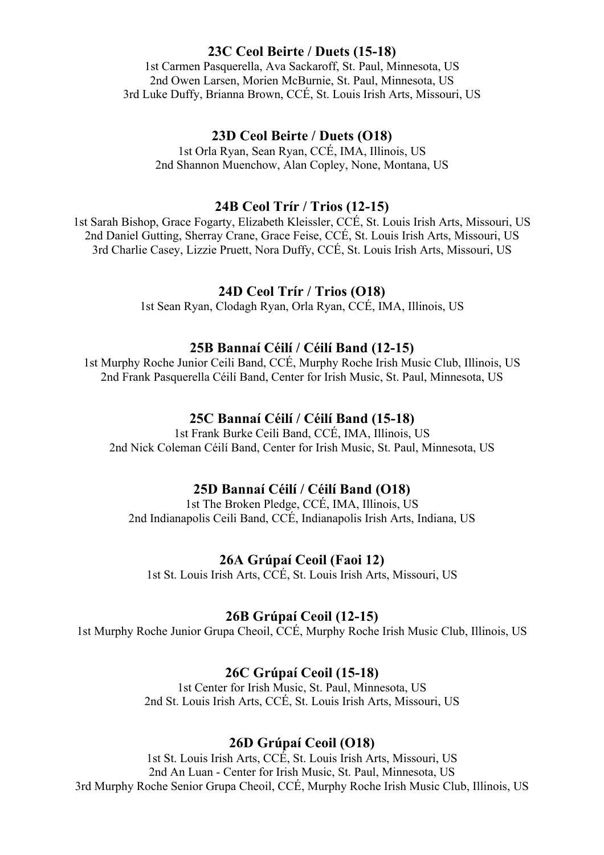## **23C Ceol Beirte / Duets (15-18)**

1st Carmen Pasquerella, Ava Sackaroff, St. Paul, Minnesota, US 2nd Owen Larsen, Morien McBurnie, St. Paul, Minnesota, US 3rd Luke Duffy, Brianna Brown, CCÉ, St. Louis Irish Arts, Missouri, US

## **23D Ceol Beirte / Duets (O18)**

1st Orla Ryan, Sean Ryan, CCÉ, IMA, Illinois, US 2nd Shannon Muenchow, Alan Copley, None, Montana, US

## **24B Ceol Trír / Trios (12-15)**

1st Sarah Bishop, Grace Fogarty, Elizabeth Kleissler, CCÉ, St. Louis Irish Arts, Missouri, US 2nd Daniel Gutting, Sherray Crane, Grace Feise, CCÉ, St. Louis Irish Arts, Missouri, US 3rd Charlie Casey, Lizzie Pruett, Nora Duffy, CCÉ, St. Louis Irish Arts, Missouri, US

### **24D Ceol Trír / Trios (O18)**

1st Sean Ryan, Clodagh Ryan, Orla Ryan, CCÉ, IMA, Illinois, US

## **25B Bannaí Céilí / Céilí Band (12-15)**

1st Murphy Roche Junior Ceili Band, CCÉ, Murphy Roche Irish Music Club, Illinois, US 2nd Frank Pasquerella Céilí Band, Center for Irish Music, St. Paul, Minnesota, US

## **25C Bannaí Céilí / Céilí Band (15-18)**

1st Frank Burke Ceili Band, CCÉ, IMA, Illinois, US 2nd Nick Coleman Céilí Band, Center for Irish Music, St. Paul, Minnesota, US

#### **25D Bannaí Céilí / Céilí Band (O18)**

1st The Broken Pledge, CCÉ, IMA, Illinois, US 2nd Indianapolis Ceili Band, CCÉ, Indianapolis Irish Arts, Indiana, US

## **26A Grúpaí Ceoil (Faoi 12)**

1st St. Louis Irish Arts, CCÉ, St. Louis Irish Arts, Missouri, US

#### **26B Grúpaí Ceoil (12-15)**

1st Murphy Roche Junior Grupa Cheoil, CCÉ, Murphy Roche Irish Music Club, Illinois, US

## **26C Grúpaí Ceoil (15-18)**

1st Center for Irish Music, St. Paul, Minnesota, US 2nd St. Louis Irish Arts, CCÉ, St. Louis Irish Arts, Missouri, US

## **26D Grúpaí Ceoil (O18)**

1st St. Louis Irish Arts, CCÉ, St. Louis Irish Arts, Missouri, US 2nd An Luan - Center for Irish Music, St. Paul, Minnesota, US 3rd Murphy Roche Senior Grupa Cheoil, CCÉ, Murphy Roche Irish Music Club, Illinois, US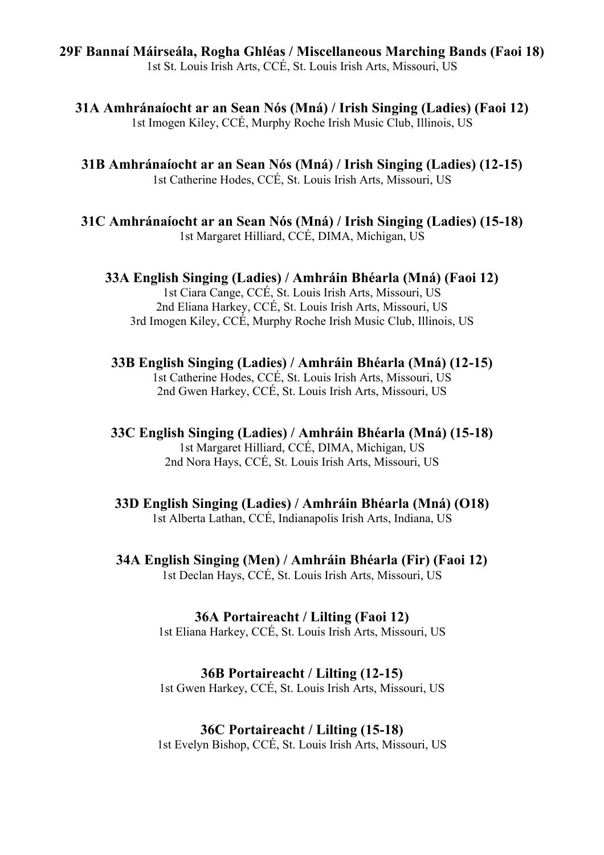## **29F Bannaí Máirseála, Rogha Ghléas / Miscellaneous Marching Bands (Faoi 18)**

1st St. Louis Irish Arts, CCÉ, St. Louis Irish Arts, Missouri, US

**31A Amhránaíocht ar an Sean Nós (Mná) / Irish Singing (Ladies) (Faoi 12)** 1st Imogen Kiley, CCÉ, Murphy Roche Irish Music Club, Illinois, US

**31B Amhránaíocht ar an Sean Nós (Mná) / Irish Singing (Ladies) (12-15)** 1st Catherine Hodes, CCÉ, St. Louis Irish Arts, Missouri, US

**31C Amhránaíocht ar an Sean Nós (Mná) / Irish Singing (Ladies) (15-18)** 1st Margaret Hilliard, CCÉ, DIMA, Michigan, US

## **33A English Singing (Ladies) / Amhráin Bhéarla (Mná) (Faoi 12)**

1st Ciara Cange, CCÉ, St. Louis Irish Arts, Missouri, US 2nd Eliana Harkey, CCÉ, St. Louis Irish Arts, Missouri, US 3rd Imogen Kiley, CCÉ, Murphy Roche Irish Music Club, Illinois, US

**33B English Singing (Ladies) / Amhráin Bhéarla (Mná) (12-15)**

1st Catherine Hodes, CCÉ, St. Louis Irish Arts, Missouri, US 2nd Gwen Harkey, CCÉ, St. Louis Irish Arts, Missouri, US

**33C English Singing (Ladies) / Amhráin Bhéarla (Mná) (15-18)** 1st Margaret Hilliard, CCÉ, DIMA, Michigan, US 2nd Nora Hays, CCÉ, St. Louis Irish Arts, Missouri, US

## **33D English Singing (Ladies) / Amhráin Bhéarla (Mná) (O18)**

1st Alberta Lathan, CCÉ, Indianapolis Irish Arts, Indiana, US

**34A English Singing (Men) / Amhráin Bhéarla (Fir) (Faoi 12)**

1st Declan Hays, CCÉ, St. Louis Irish Arts, Missouri, US

## **36A Portaireacht / Lilting (Faoi 12)**

1st Eliana Harkey, CCÉ, St. Louis Irish Arts, Missouri, US

## **36B Portaireacht / Lilting (12-15)**

1st Gwen Harkey, CCÉ, St. Louis Irish Arts, Missouri, US

## **36C Portaireacht / Lilting (15-18)**

1st Evelyn Bishop, CCÉ, St. Louis Irish Arts, Missouri, US